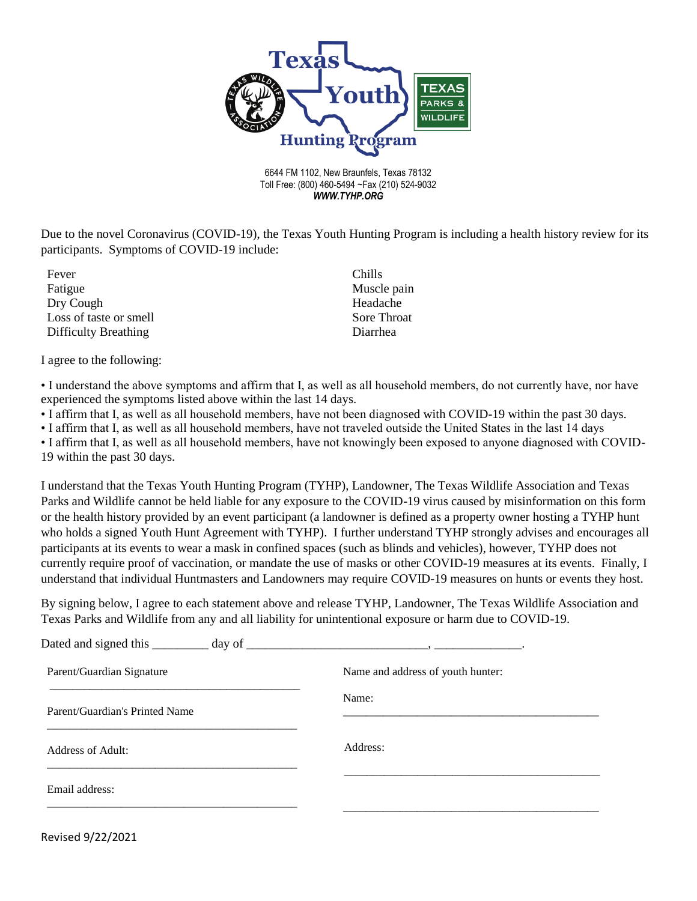

6644 FM 1102, New Braunfels, Texas 78132 Toll Free: (800) 460-5494 ~Fax (210) 524-9032 *WWW.TYHP.ORG*

Due to the novel Coronavirus (COVID-19), the Texas Youth Hunting Program is including a health history review for its participants. Symptoms of COVID-19 include:

Fever Fatigue Dry Cough Loss of taste or smell Difficulty Breathing

Chills Muscle pain Headache Sore Throat Diarrhea

I agree to the following:

• I understand the above symptoms and affirm that I, as well as all household members, do not currently have, nor have experienced the symptoms listed above within the last 14 days.

• I affirm that I, as well as all household members, have not been diagnosed with COVID-19 within the past 30 days.

• I affirm that I, as well as all household members, have not traveled outside the United States in the last 14 days

• I affirm that I, as well as all household members, have not knowingly been exposed to anyone diagnosed with COVID-19 within the past 30 days.

I understand that the Texas Youth Hunting Program (TYHP), Landowner, The Texas Wildlife Association and Texas Parks and Wildlife cannot be held liable for any exposure to the COVID-19 virus caused by misinformation on this form or the health history provided by an event participant (a landowner is defined as a property owner hosting a TYHP hunt who holds a signed Youth Hunt Agreement with TYHP). I further understand TYHP strongly advises and encourages all participants at its events to wear a mask in confined spaces (such as blinds and vehicles), however, TYHP does not currently require proof of vaccination, or mandate the use of masks or other COVID-19 measures at its events. Finally, I understand that individual Huntmasters and Landowners may require COVID-19 measures on hunts or events they host.

By signing below, I agree to each statement above and release TYHP, Landowner, The Texas Wildlife Association and Texas Parks and Wildlife from any and all liability for unintentional exposure or harm due to COVID-19.

| Dated and signed this _________ day of _ |                                   |
|------------------------------------------|-----------------------------------|
| Parent/Guardian Signature                | Name and address of youth hunter: |
| Parent/Guardian's Printed Name           | Name:                             |
| Address of Adult:                        | Address:                          |
| Email address:                           |                                   |
|                                          |                                   |